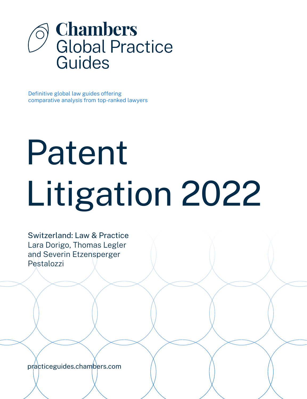

Definitive global law guides offering comparative analysis from top-ranked lawyers

# Patent Litigation 2022

Switzerland: Law & Practice Lara Dorigo, Thomas Legler and Severin Etzensperger Pestalozzi

[practiceguides.chambers.com](http://practiceguides.chambers.com)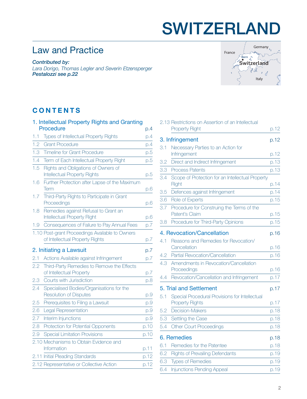# SWITZERLAND

# Law and Practice

*Contributed by:*

*Lara Dorigo, Thomas Legler and Severin Etzensperger Pestalozzi [see p.22](#page-21-0)*



# **CONTENTS**

|      | 1. Intellectual Property Rights and Granting                                       |      |
|------|------------------------------------------------------------------------------------|------|
|      | Procedure                                                                          | p.4  |
| 1.1  | Types of Intellectual Property Rights                                              | p.4  |
| 1.2  | <b>Grant Procedure</b>                                                             | p.4  |
| 1.3  | <b>Timeline for Grant Procedure</b>                                                | p.5  |
| 1.4  | Term of Each Intellectual Property Right                                           | p.5  |
| 1.5  | Rights and Obligations of Owners of<br><b>Intellectual Property Rights</b>         | p.5  |
| 1.6  | Further Protection after Lapse of the Maximum<br>Term                              | p.6  |
| 1.7  | Third-Party Rights to Participate in Grant<br>Proceedings                          | p.6  |
| 1.8  | Remedies against Refusal to Grant an<br><b>Intellectual Property Right</b>         | p.6  |
| 1.9  | Consequences of Failure to Pay Annual Fees                                         | p.7  |
|      | 1.10 Post-grant Proceedings Available to Owners<br>of Intellectual Property Rights | p.7  |
|      | 2. Initiating a Lawsuit                                                            | p.7  |
| 2.1  | Actions Available against Infringement                                             | p.7  |
| 2.2  | Third-Party Remedies to Remove the Effects<br>of Intellectual Property             | p.7  |
| 2.3  | Courts with Jurisdiction                                                           | p.8  |
| 2.4  | Specialised Bodies/Organisations for the<br><b>Resolution of Disputes</b>          | p.9  |
| 2.5  | Prerequisites to Filing a Lawsuit                                                  | p.9  |
| 2.6  | Legal Representation                                                               | p.9  |
| 2.7  | Interim Injunctions                                                                | p.9  |
| 2.8  | Protection for Potential Opponents                                                 | p.10 |
| 2.9  | <b>Special Limitation Provisions</b>                                               | p.10 |
| 2.10 | Mechanisms to Obtain Evidence and<br>Information                                   | p.11 |
|      | 2.11 Initial Pleading Standards                                                    | p.12 |
|      | 2.12 Representative or Collective Action                                           | p.12 |
|      |                                                                                    |      |

|     | 2.13 Restrictions on Assertion of an Intellectual<br><b>Property Right</b> | p.12 |
|-----|----------------------------------------------------------------------------|------|
|     | 3. Infringement                                                            | p.12 |
| 3.1 | Necessary Parties to an Action for                                         |      |
|     | Infringement                                                               | p.12 |
| 3.2 | Direct and Indirect Infringement                                           | p.13 |
| 3.3 | <b>Process Patents</b>                                                     | p.13 |
| 3.4 | Scope of Protection for an Intellectual Property<br>Right                  | p.14 |
| 3.5 | Defences against Infringement                                              | p.14 |
| 3.6 | Role of Experts                                                            | p.15 |
| 3.7 | Procedure for Construing the Terms of the                                  |      |
|     | Patent's Claim                                                             | p.15 |
| 3.8 | Procedure for Third-Party Opinions                                         | p.15 |
|     | 4. Revocation/Cancellation                                                 | p.16 |
| 4.1 | Reasons and Remedies for Revocation/<br>Cancellation                       | p.16 |
| 4.2 | Partial Revocation/Cancellation                                            | p.16 |
| 4.3 | Amendments in Revocation/Cancellation                                      |      |
|     | Proceedings                                                                | p.16 |
| 4.4 | Revocation/Cancellation and Infringement                                   | p.17 |
|     | 5. Trial and Settlement                                                    | p.17 |
| 5.1 | Special Procedural Provisions for Intellectual                             |      |
|     | <b>Property Rights</b>                                                     | p.17 |
| 5.2 | <b>Decision-Makers</b>                                                     | p.18 |
| 5.3 | Settling the Case                                                          | p.18 |
| 5.4 | <b>Other Court Proceedings</b>                                             | p.18 |
|     | 6. Remedies                                                                | p.18 |
| 6.1 | Remedies for the Patentee                                                  | p.18 |
| 6.2 | <b>Rights of Prevailing Defendants</b>                                     | p.19 |
| 6.3 | <b>Types of Remedies</b>                                                   | p.19 |
| 6.4 | <b>Injunctions Pending Appeal</b>                                          | p.19 |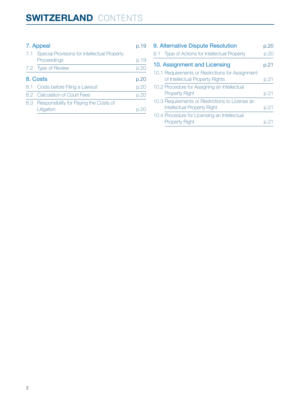#### [7. Appeal](#page-18-0) p.19

| 7.1 Special Provisions for Intellectual Property<br>Proceedings | p.19 |
|-----------------------------------------------------------------|------|
| 7.2 Type of Review                                              | p.20 |
| 8. Costs                                                        | p.20 |
| 8.1 Costs before Filing a Lawsuit                               | p.20 |
| 8.2 Calculation of Court Fees                                   | p.20 |
| 8.3 Responsibility for Paying the Costs of<br>Litigation        |      |

| 9. Alternative Dispute Resolution                                                     |      |  |
|---------------------------------------------------------------------------------------|------|--|
| Type of Actions for Intellectual Property<br>9.1                                      | p.20 |  |
| 10. Assignment and Licensing                                                          |      |  |
| 10.1 Requirements or Restrictions for Assignment<br>of Intellectual Property Rights   | p.21 |  |
| 10.2 Procedure for Assigning an Intellectual<br><b>Property Right</b>                 | p.21 |  |
| 10.3 Requirements or Restrictions to License an<br><b>Intellectual Property Right</b> | p.21 |  |
| 10.4 Procedure for Licensing an Intellectual<br><b>Property Right</b>                 |      |  |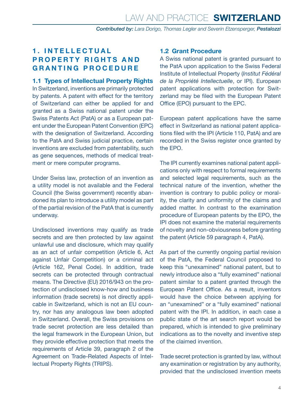#### <span id="page-3-0"></span>**1 . I N T E L L E C T U A L PROPERTY RIGHTS AND GRANTING PROCEDURE**

**1.1 Types of Intellectual Property Rights** In Switzerland, inventions are primarily protected by patents. A patent with effect for the territory of Switzerland can either be applied for and granted as a Swiss national patent under the Swiss Patents Act (PatA) or as a European patent under the European Patent Convention (EPC) with the designation of Switzerland. According to the PatA and Swiss judicial practice, certain inventions are excluded from patentability, such as gene sequences, methods of medical treatment or mere computer programs.

Under Swiss law, protection of an invention as a utility model is not available and the Federal Council (the Swiss government) recently abandoned its plan to introduce a utility model as part of the partial revision of the PatA that is currently underway.

Undisclosed inventions may qualify as trade secrets and are then protected by law against unlawful use and disclosure, which may qualify as an act of unfair competition (Article 6, Act against Unfair Competition) or a criminal act (Article 162, Penal Code). In addition, trade secrets can be protected through contractual means. The Directive (EU) 2016/943 on the protection of undisclosed know-how and business information (trade secrets) is not directly applicable in Switzerland, which is not an EU country, nor has any analogous law been adopted in Switzerland. Overall, the Swiss provisions on trade secret protection are less detailed than the legal framework in the European Union, but they provide effective protection that meets the requirements of Article 39, paragraph 2 of the Agreement on Trade-Related Aspects of Intellectual Property Rights (TRIPS).

#### **1.2 Grant Procedure**

A Swiss national patent is granted pursuant to the PatA upon application to the Swiss Federal Institute of Intellectual Property (*Institut Fédéral de la Propriété Intellectuelle*, or IPI). European patent applications with protection for Switzerland may be filed with the European Patent Office (EPO) pursuant to the EPC.

European patent applications have the same effect in Switzerland as national patent applications filed with the IPI (Article 110, PatA) and are recorded in the Swiss register once granted by the EPO.

The IPI currently examines national patent applications only with respect to formal requirements and selected legal requirements, such as the technical nature of the invention, whether the invention is contrary to public policy or morality, the clarity and uniformity of the claims and added matter. In contrast to the examination procedure of European patents by the EPO, the IPI does not examine the material requirements of novelty and non-obviousness before granting the patent (Article 59 paragraph 4, PatA).

As part of the currently ongoing partial revision of the PatA, the Federal Council proposed to keep this "unexamined" national patent, but to newly introduce also a "fully examined" national patent similar to a patent granted through the European Patent Office. As a result, inventors would have the choice between applying for an "unexamined" or a "fully examined" national patent with the IPI. In addition, in each case a public state of the art search report would be prepared, which is intended to give preliminary indications as to the novelty and inventive step of the claimed invention.

Trade secret protection is granted by law, without any examination or registration by any authority, provided that the undisclosed invention meets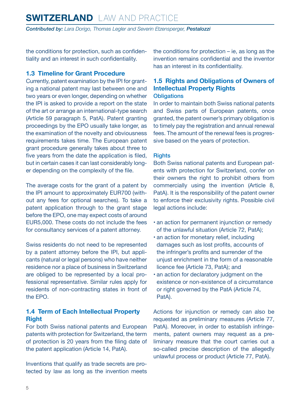<span id="page-4-0"></span>the conditions for protection, such as confidentiality and an interest in such confidentiality.

#### **1.3 Timeline for Grant Procedure**

Currently, patent examination by the IPI for granting a national patent may last between one and two years or even longer, depending on whether the IPI is asked to provide a report on the state of the art or arrange an international-type search (Article 59 paragraph 5, PatA). Patent granting proceedings by the EPO usually take longer, as the examination of the novelty and obviousness requirements takes time. The European patent grant procedure generally takes about three to five years from the date the application is filed, but in certain cases it can last considerably longer depending on the complexity of the file.

The average costs for the grant of a patent by the IPI amount to approximately EUR700 (without any fees for optional searches). To take a patent application through to the grant stage before the EPO, one may expect costs of around EUR5,000. These costs do not include the fees for consultancy services of a patent attorney.

Swiss residents do not need to be represented by a patent attorney before the IPI, but applicants (natural or legal persons) who have neither residence nor a place of business in Switzerland are obliged to be represented by a local professional representative. Similar rules apply for residents of non-contracting states in front of the EPO.

#### **1.4 Term of Each Intellectual Property Right**

For both Swiss national patents and European patents with protection for Switzerland, the term of protection is 20 years from the filing date of the patent application (Article 14, PatA).

Inventions that qualify as trade secrets are protected by law as long as the invention meets the conditions for protection – ie, as long as the invention remains confidential and the inventor has an interest in its confidentiality.

## **1.5 Rights and Obligations of Owners of Intellectual Property Rights**

#### **Obligations**

In order to maintain both Swiss national patents and Swiss parts of European patents, once granted, the patent owner's primary obligation is to timely pay the registration and annual renewal fees. The amount of the renewal fees is progressive based on the years of protection.

#### **Rights**

Both Swiss national patents and European patents with protection for Switzerland, confer on their owners the right to prohibit others from commercially using the invention (Article 8, PatA). It is the responsibility of the patent owner to enforce their exclusivity rights. Possible civil legal actions include:

- an action for permanent injunction or remedy of the unlawful situation (Article 72, PatA);
- an action for monetary relief, including damages such as lost profits, accounts of the infringer's profits and surrender of the unjust enrichment in the form of a reasonable licence fee (Article 73, PatA); and
- an action for declaratory judgment on the existence or non-existence of a circumstance or right governed by the PatA (Article 74, PatA).

Actions for injunction or remedy can also be requested as preliminary measures (Article 77, PatA). Moreover, in order to establish infringements, patent owners may request as a preliminary measure that the court carries out a so-called precise description of the allegedly unlawful process or product (Article 77, PatA).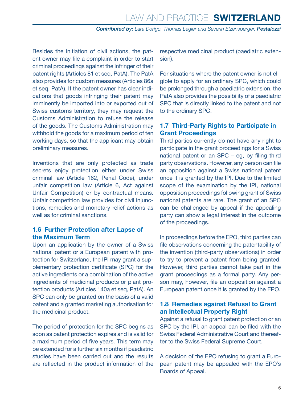<span id="page-5-0"></span>Besides the initiation of civil actions, the patent owner may file a complaint in order to start criminal proceedings against the infringer of their patent rights (Articles 81 et seq, PatA). The PatA also provides for custom measures (Articles 86a et seq, PatA). If the patent owner has clear indications that goods infringing their patent may imminently be imported into or exported out of Swiss customs territory, they may request the Customs Administration to refuse the release of the goods. The Customs Administration may withhold the goods for a maximum period of ten working days, so that the applicant may obtain preliminary measures.

Inventions that are only protected as trade secrets enjoy protection either under Swiss criminal law (Article 162, Penal Code), under unfair competition law (Article 6, Act against Unfair Competition) or by contractual means. Unfair competition law provides for civil injunctions, remedies and monetary relief actions as well as for criminal sanctions.

#### **1.6 Further Protection after Lapse of the Maximum Term**

Upon an application by the owner of a Swiss national patent or a European patent with protection for Switzerland, the IPI may grant a supplementary protection certificate (SPC) for the active ingredients or a combination of the active ingredients of medicinal products or plant protection products (Articles 140a et seq, PatA). An SPC can only be granted on the basis of a valid patent and a granted marketing authorisation for the medicinal product.

The period of protection for the SPC begins as soon as patent protection expires and is valid for a maximum period of five years. This term may be extended for a further six months if paediatric studies have been carried out and the results are reflected in the product information of the

respective medicinal product (paediatric extension).

For situations where the patent owner is not eligible to apply for an ordinary SPC, which could be prolonged through a paediatric extension, the PatA also provides the possibility of a paediatric SPC that is directly linked to the patent and not to the ordinary SPC.

#### **1.7 Third-Party Rights to Participate in Grant Proceedings**

Third parties currently do not have any right to participate in the grant proceedings for a Swiss national patent or an SPC – eg, by filing third party observations. However, any person can file an opposition against a Swiss national patent once it is granted by the IPI. Due to the limited scope of the examination by the IPI, national opposition proceedings following grant of Swiss national patents are rare. The grant of an SPC can be challenged by appeal if the appealing party can show a legal interest in the outcome of the proceedings.

In proceedings before the EPO, third parties can file observations concerning the patentability of the invention (third-party observations) in order to try to prevent a patent from being granted. However, third parties cannot take part in the grant proceedings as a formal party. Any person may, however, file an opposition against a European patent once it is granted by the EPO.

#### **1.8 Remedies against Refusal to Grant an Intellectual Property Right**

Against a refusal to grant patent protection or an SPC by the IPI, an appeal can be filed with the Swiss Federal Administrative Court and thereafter to the Swiss Federal Supreme Court.

A decision of the EPO refusing to grant a European patent may be appealed with the EPO's Boards of Appeal.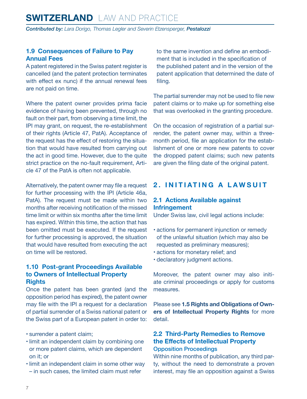#### <span id="page-6-0"></span>**1.9 Consequences of Failure to Pay Annual Fees**

A patent registered in the Swiss patent register is cancelled (and the patent protection terminates with effect ex nunc) if the annual renewal fees are not paid on time.

Where the patent owner provides prima facie evidence of having been prevented, through no fault on their part, from observing a time limit, the IPI may grant, on request, the re-establishment of their rights (Article 47, PatA). Acceptance of the request has the effect of restoring the situation that would have resulted from carrying out the act in good time. However, due to the quite strict practice on the no-fault requirement, Article 47 of the PatA is often not applicable.

Alternatively, the patent owner may file a request for further processing with the IPI (Article 46a, PatA). The request must be made within two months after receiving notification of the missed time limit or within six months after the time limit has expired. Within this time, the action that has been omitted must be executed. If the request for further processing is approved, the situation that would have resulted from executing the act on time will be restored.

#### **1.10 Post-grant Proceedings Available to Owners of Intellectual Property Rights**

Once the patent has been granted (and the opposition period has expired), the patent owner may file with the IPI a request for a declaration of partial surrender of a Swiss national patent or the Swiss part of a European patent in order to:

- surrender a patent claim;
- limit an independent claim by combining one or more patent claims, which are dependent on it; or
- limit an independent claim in some other way – in such cases, the limited claim must refer

to the same invention and define an embodiment that is included in the specification of the published patent and in the version of the patent application that determined the date of filing.

The partial surrender may not be used to file new patent claims or to make up for something else that was overlooked in the granting procedure.

On the occasion of registration of a partial surrender, the patent owner may, within a threemonth period, file an application for the establishment of one or more new patents to cover the dropped patent claims; such new patents are given the filing date of the original patent.

#### **2. INITIATING A LAWSUIT**

#### **2.1 Actions Available against Infringement**

Under Swiss law, civil legal actions include:

- actions for permanent injunction or remedy of the unlawful situation (which may also be requested as preliminary measures);
- actions for monetary relief; and
- declaratory judgment actions.

Moreover, the patent owner may also initiate criminal proceedings or apply for customs measures.

Please see **1.5 Rights and Obligations of Owners of Intellectual Property Rights** for more detail.

#### **2.2 Third-Party Remedies to Remove the Effects of Intellectual Property** Opposition Proceedings

Within nine months of publication, any third party, without the need to demonstrate a proven interest, may file an opposition against a Swiss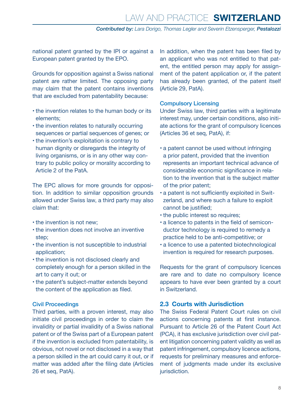<span id="page-7-0"></span>national patent granted by the IPI or against a European patent granted by the EPO.

Grounds for opposition against a Swiss national patent are rather limited. The opposing party may claim that the patent contains inventions that are excluded from patentability because:

- the invention relates to the human body or its elements;
- the invention relates to naturally occurring sequences or partial sequences of genes; or
- the invention's exploitation is contrary to human dignity or disregards the integrity of living organisms, or is in any other way contrary to public policy or morality according to Article 2 of the PatA.

The EPC allows for more grounds for opposition. In addition to similar opposition grounds allowed under Swiss law, a third party may also claim that:

- the invention is not new;
- the invention does not involve an inventive step;
- the invention is not susceptible to industrial application;
- the invention is not disclosed clearly and completely enough for a person skilled in the art to carry it out; or
- the patent's subject-matter extends beyond the content of the application as filed.

#### Civil Proceedings

Third parties, with a proven interest, may also initiate civil proceedings in order to claim the invalidity or partial invalidity of a Swiss national patent or of the Swiss part of a European patent if the invention is excluded from patentability, is obvious, not novel or not disclosed in a way that a person skilled in the art could carry it out, or if matter was added after the filing date (Articles 26 et seq, PatA).

In addition, when the patent has been filed by an applicant who was not entitled to that patent, the entitled person may apply for assignment of the patent application or, if the patent has already been granted, of the patent itself (Article 29, PatA).

#### Compulsory Licensing

Under Swiss law, third parties with a legitimate interest may, under certain conditions, also initiate actions for the grant of compulsory licences (Articles 36 et seq, PatA), if:

- a patent cannot be used without infringing a prior patent, provided that the invention represents an important technical advance of considerable economic significance in relation to the invention that is the subject matter of the prior patent;
- a patent is not sufficiently exploited in Switzerland, and where such a failure to exploit cannot be justified;
- the public interest so requires;
- a licence to patents in the field of semiconductor technology is required to remedy a practice held to be anti-competitive; or
- a licence to use a patented biotechnological invention is required for research purposes.

Requests for the grant of compulsory licences are rare and to date no compulsory licence appears to have ever been granted by a court in Switzerland.

#### **2.3 Courts with Jurisdiction**

The Swiss Federal Patent Court rules on civil actions concerning patents at first instance. Pursuant to Article 26 of the Patent Court Act (PCA), it has exclusive jurisdiction over civil patent litigation concerning patent validity as well as patent infringement, compulsory licence actions, requests for preliminary measures and enforcement of judgments made under its exclusive jurisdiction.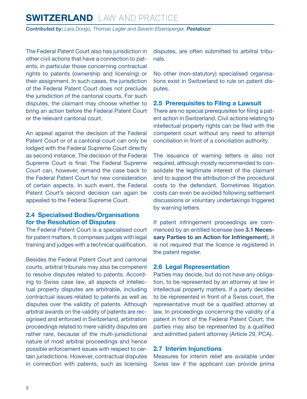<span id="page-8-0"></span>The Federal Patent Court also has jurisdiction in other civil actions that have a connection to patents, in particular those concerning contractual rights to patents (ownership and licensing) or their assignment. In such cases, the jurisdiction of the Federal Patent Court does not preclude the jurisdiction of the cantonal courts. For such disputes, the claimant may choose whether to bring an action before the Federal Patent Court or the relevant cantonal court.

An appeal against the decision of the Federal Patent Court or of a cantonal court can only be lodged with the Federal Supreme Court directly as second instance. The decision of the Federal Supreme Court is final. The Federal Supreme Court can, however, remand the case back to the Federal Patent Court for new consideration of certain aspects. In such event, the Federal Patent Court's second decision can again be appealed to the Federal Supreme Court.

#### **2.4 Specialised Bodies/Organisations for the Resolution of Disputes**

The Federal Patent Court is a specialised court for patent matters. It comprises judges with legal training and judges with a technical qualification.

Besides the Federal Patent Court and cantonal courts, arbitral tribunals may also be competent to resolve disputes related to patents. According to Swiss case law, all aspects of intellectual property disputes are arbitrable, including contractual issues related to patents as well as disputes over the validity of patents. Although arbitral awards on the validity of patents are recognised and enforced in Switzerland, arbitration proceedings related to mere validity disputes are rather rare, because of the multi-jurisdictional nature of most arbitral proceedings and hence possible enforcement issues with respect to certain jurisdictions. However, contractual disputes in connection with patents, such as licensing disputes, are often submitted to arbitral tribunals.

No other (non-statutory) specialised organisations exist in Switzerland to rule on patent disputes.

#### **2.5 Prerequisites to Filing a Lawsuit**

There are no special prerequisites for filing a patent action in Switzerland. Civil actions relating to intellectual property rights can be filed with the competent court without any need to attempt conciliation in front of a conciliation authority.

The issuance of warning letters is also not required, although mostly recommended to consolidate the legitimate interest of the claimant and to support the attribution of the procedural costs to the defendant. Sometimes litigation costs can even be avoided following settlement discussions or voluntary undertakings triggered by warning letters.

If patent infringement proceedings are commenced by an entitled licensee (see **3.1 Necessary Parties to an Action for Infringement**), it is not required that the licence is registered in the patent register.

#### **2.6 Legal Representation**

Parties may decide, but do not have any obligation, to be represented by an attorney at law in intellectual property matters. If a party decides to be represented in front of a Swiss court, the representative must be a qualified attorney at law. In proceedings concerning the validity of a patent in front of the Federal Patent Court, the parties may also be represented by a qualified and admitted patent attorney (Article 29, PCA).

#### **2.7 Interim Injunctions**

Measures for interim relief are available under Swiss law if the applicant can provide prima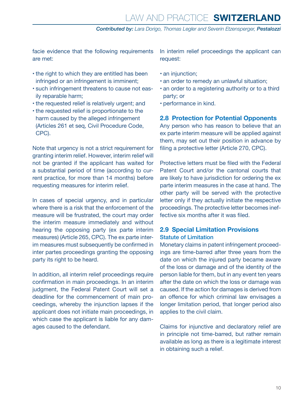<span id="page-9-0"></span>facie evidence that the following requirements are met:

- the right to which they are entitled has been infringed or an infringement is imminent;
- such infringement threatens to cause not easily reparable harm;
- the requested relief is relatively urgent; and
- the requested relief is proportionate to the harm caused by the alleged infringement (Articles 261 et seq, Civil Procedure Code, CPC).

Note that urgency is not a strict requirement for granting interim relief. However, interim relief will not be granted if the applicant has waited for a substantial period of time (according to current practice, for more than 14 months) before requesting measures for interim relief.

In cases of special urgency, and in particular where there is a risk that the enforcement of the measure will be frustrated, the court may order the interim measure immediately and without hearing the opposing party (ex parte interim measures) (Article 265, CPC). The ex parte interim measures must subsequently be confirmed in inter partes proceedings granting the opposing party its right to be heard.

In addition, all interim relief proceedings require confirmation in main proceedings. In an interim judgment, the Federal Patent Court will set a deadline for the commencement of main proceedings, whereby the injunction lapses if the applicant does not initiate main proceedings, in which case the applicant is liable for any damages caused to the defendant.

In interim relief proceedings the applicant can request:

- an injunction;
- an order to remedy an unlawful situation;
- an order to a registering authority or to a third party; or
- performance in kind.

#### **2.8 Protection for Potential Opponents**

Any person who has reason to believe that an ex parte interim measure will be applied against them, may set out their position in advance by filing a protective letter (Article 270, CPC).

Protective letters must be filed with the Federal Patent Court and/or the cantonal courts that are likely to have jurisdiction for ordering the ex parte interim measures in the case at hand. The other party will be served with the protective letter only if they actually initiate the respective proceedings. The protective letter becomes ineffective six months after it was filed.

#### **2.9 Special Limitation Provisions** Statute of Limitation

Monetary claims in patent infringement proceedings are time-barred after three years from the date on which the injured party became aware of the loss or damage and of the identity of the person liable for them, but in any event ten years after the date on which the loss or damage was caused. If the action for damages is derived from an offence for which criminal law envisages a longer limitation period, that longer period also applies to the civil claim.

Claims for injunctive and declaratory relief are in principle not time-barred, but rather remain available as long as there is a legitimate interest in obtaining such a relief.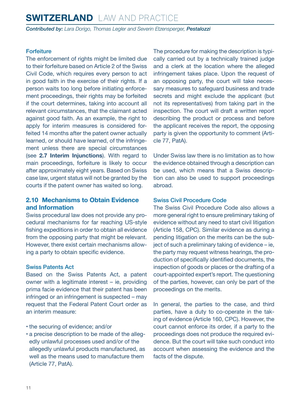# <span id="page-10-0"></span>**SWITZERLAND** LAW AND PRACTICE

*Contributed by: Lara Dorigo, Thomas Legler and Severin Etzensperger, Pestalozzi*

#### **Forfeiture**

The enforcement of rights might be limited due to their forfeiture based on Article 2 of the Swiss Civil Code, which requires every person to act in good faith in the exercise of their rights. If a person waits too long before initiating enforcement proceedings, their rights may be forfeited if the court determines, taking into account all relevant circumstances, that the claimant acted against good faith. As an example, the right to apply for interim measures is considered forfeited 14 months after the patent owner actually learned, or should have learned, of the infringement unless there are special circumstances (see **2.7 Interim Injunctions**). With regard to main proceedings, forfeiture is likely to occur after approximately eight years. Based on Swiss case law, urgent status will not be granted by the courts if the patent owner has waited so long.

#### **2.10 Mechanisms to Obtain Evidence and Information**

Swiss procedural law does not provide any procedural mechanisms for far reaching US-style fishing expeditions in order to obtain all evidence from the opposing party that might be relevant. However, there exist certain mechanisms allowing a party to obtain specific evidence.

#### Swiss Patents Act

Based on the Swiss Patents Act, a patent owner with a legitimate interest – ie, providing prima facie evidence that their patent has been infringed or an infringement is suspected – may request that the Federal Patent Court order as an interim measure:

#### • the securing of evidence; and/or

• a precise description to be made of the allegedly unlawful processes used and/or of the allegedly unlawful products manufactured, as well as the means used to manufacture them (Article 77, PatA).

The procedure for making the description is typically carried out by a technically trained judge and a clerk at the location where the alleged infringement takes place. Upon the request of an opposing party, the court will take necessary measures to safeguard business and trade secrets and might exclude the applicant (but not its representatives) from taking part in the inspection. The court will draft a written report describing the product or process and before the applicant receives the report, the opposing party is given the opportunity to comment (Article 77, PatA).

Under Swiss law there is no limitation as to how the evidence obtained through a description can be used, which means that a Swiss description can also be used to support proceedings abroad.

#### Swiss Civil Procedure Code

The Swiss Civil Procedure Code also allows a more general right to ensure preliminary taking of evidence without any need to start civil litigation (Article 158, CPC). Similar evidence as during a pending litigation on the merits can be the subject of such a preliminary taking of evidence – ie, the party may request witness hearings, the production of specifically identified documents, the inspection of goods or places or the drafting of a court-appointed expert's report. The questioning of the parties, however, can only be part of the proceedings on the merits.

In general, the parties to the case, and third parties, have a duty to co-operate in the taking of evidence (Article 160, CPC). However, the court cannot enforce its order, if a party to the proceedings does not produce the required evidence. But the court will take such conduct into account when assessing the evidence and the facts of the dispute.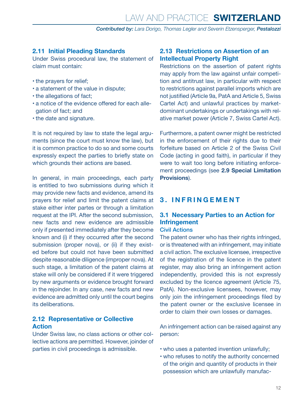#### <span id="page-11-0"></span>**2.11 Initial Pleading Standards**

Under Swiss procedural law, the statement of claim must contain:

- the prayers for relief;
- a statement of the value in dispute;
- the allegations of fact;
- a notice of the evidence offered for each allegation of fact; and
- the date and signature.

It is not required by law to state the legal arguments (since the court must know the law), but it is common practice to do so and some courts expressly expect the parties to briefly state on which grounds their actions are based.

In general, in main proceedings, each party is entitled to two submissions during which it may provide new facts and evidence, amend its prayers for relief and limit the patent claims at stake either inter partes or through a limitation request at the IPI. After the second submission, new facts and new evidence are admissible only if presented immediately after they become known and (i) if they occurred after the second submission (proper nova), or (ii) if they existed before but could not have been submitted despite reasonable diligence (improper nova). At such stage, a limitation of the patent claims at stake will only be considered if it were triggered by new arguments or evidence brought forward in the rejoinder. In any case, new facts and new evidence are admitted only until the court begins its deliberations.

#### **2.12 Representative or Collective Action**

Under Swiss law, no class actions or other collective actions are permitted. However, joinder of parties in civil proceedings is admissible.

#### **2.13 Restrictions on Assertion of an Intellectual Property Right**

Restrictions on the assertion of patent rights may apply from the law against unfair competition and antitrust law, in particular with respect to restrictions against parallel imports which are not justified (Article 9a, PatA and Article 5, Swiss Cartel Act) and unlawful practices by marketdominant undertakings or undertakings with relative market power (Article 7, Swiss Cartel Act).

Furthermore, a patent owner might be restricted in the enforcement of their rights due to their forfeiture based on Article 2 of the Swiss Civil Code (acting in good faith), in particular if they were to wait too long before initiating enforcement proceedings (see **2.9 Special Limitation Provisions**).

#### **3. INFRINGEMENT**

#### **3.1 Necessary Parties to an Action for Infringement**

#### Civil Actions

The patent owner who has their rights infringed, or is threatened with an infringement, may initiate a civil action. The exclusive licensee, irrespective of the registration of the licence in the patent register, may also bring an infringement action independently, provided this is not expressly excluded by the licence agreement (Article 75, PatA). Non-exclusive licensees, however, may only join the infringement proceedings filed by the patent owner or the exclusive licensee in order to claim their own losses or damages.

An infringement action can be raised against any person:

- who uses a patented invention unlawfully;
- who refuses to notify the authority concerned of the origin and quantity of products in their possession which are unlawfully manufac-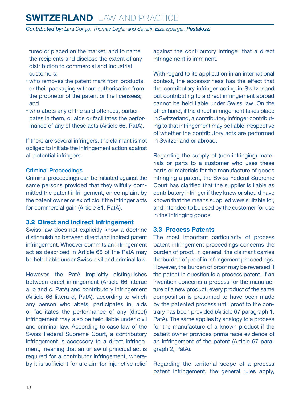<span id="page-12-0"></span>tured or placed on the market, and to name the recipients and disclose the extent of any distribution to commercial and industrial customers;

- who removes the patent mark from products or their packaging without authorisation from the proprietor of the patent or the licensees; and
- who abets any of the said offences, participates in them, or aids or facilitates the performance of any of these acts (Article 66, PatA).

If there are several infringers, the claimant is not obliged to initiate the infringement action against all potential infringers.

#### Criminal Proceedings

Criminal proceedings can be initiated against the same persons provided that they wilfully committed the patent infringement, on complaint by the patent owner or ex officio if the infringer acts for commercial gain (Article 81, PatA).

#### **3.2 Direct and Indirect Infringement**

Swiss law does not explicitly know a doctrine distinguishing between direct and indirect patent infringement. Whoever commits an infringement act as described in Article 66 of the PatA may be held liable under Swiss civil and criminal law.

However, the PatA implicitly distinguishes between direct infringement (Article 66 litterae a, b and c, PatA) and contributory infringement (Article 66 littera d, PatA), according to which any person who abets, participates in, aids or facilitates the performance of any (direct) infringement may also be held liable under civil and criminal law. According to case law of the Swiss Federal Supreme Court, a contributory infringement is accessory to a direct infringement, meaning that an unlawful principal act is required for a contributor infringement, whereby it is sufficient for a claim for injunctive relief against the contributory infringer that a direct infringement is imminent.

With regard to its application in an international context, the accessoriness has the effect that the contributory infringer acting in Switzerland but contributing to a direct infringement abroad cannot be held liable under Swiss law. On the other hand, if the direct infringement takes place in Switzerland, a contributory infringer contributing to that infringement may be liable irrespective of whether the contributory acts are performed in Switzerland or abroad.

Regarding the supply of (non-infringing) materials or parts to a customer who uses these parts or materials for the manufacture of goods infringing a patent, the Swiss Federal Supreme Court has clarified that the supplier is liable as contributory infringer if they knew or should have known that the means supplied were suitable for, and intended to be used by the customer for use in the infringing goods.

#### **3.3 Process Patents**

The most important particularity of process patent infringement proceedings concerns the burden of proof. In general, the claimant carries the burden of proof in infringement proceedings. However, the burden of proof may be reversed if the patent in question is a process patent. If an invention concerns a process for the manufacture of a new product, every product of the same composition is presumed to have been made by the patented process until proof to the contrary has been provided (Article 67 paragraph 1, PatA). The same applies by analogy to a process for the manufacture of a known product if the patent owner provides prima facie evidence of an infringement of the patent (Article 67 paragraph 2, PatA).

Regarding the territorial scope of a process patent infringement, the general rules apply,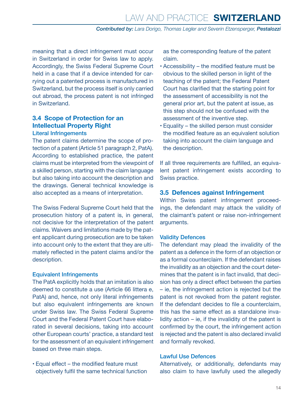<span id="page-13-0"></span>meaning that a direct infringement must occur in Switzerland in order for Swiss law to apply. Accordingly, the Swiss Federal Supreme Court held in a case that if a device intended for carrying out a patented process is manufactured in Switzerland, but the process itself is only carried out abroad, the process patent is not infringed in Switzerland.

#### **3.4 Scope of Protection for an Intellectual Property Right** Literal Infringements

The patent claims determine the scope of protection of a patent (Article 51 paragraph 2, PatA). According to established practice, the patent claims must be interpreted from the viewpoint of a skilled person, starting with the claim language but also taking into account the description and the drawings. General technical knowledge is also accepted as a means of interpretation.

The Swiss Federal Supreme Court held that the prosecution history of a patent is, in general, not decisive for the interpretation of the patent claims. Waivers and limitations made by the patent applicant during prosecution are to be taken into account only to the extent that they are ultimately reflected in the patent claims and/or the description.

#### Equivalent Infringements

The PatA explicitly holds that an imitation is also deemed to constitute a use (Article 66 littera e, PatA) and, hence, not only literal infringements but also equivalent infringements are known under Swiss law. The Swiss Federal Supreme Court and the Federal Patent Court have elaborated in several decisions, taking into account other European courts' practice, a standard test for the assessment of an equivalent infringement based on three main steps.

• Equal effect – the modified feature must objectively fulfil the same technical function as the corresponding feature of the patent claim.

- Accessibility the modified feature must be obvious to the skilled person in light of the teaching of the patent; the Federal Patent Court has clarified that the starting point for the assessment of accessibility is not the general prior art, but the patent at issue, as this step should not be confused with the assessment of the inventive step.
- Equality the skilled person must consider the modified feature as an equivalent solution taking into account the claim language and the description.

If all three requirements are fulfilled, an equivalent patent infringement exists according to Swiss practice.

#### **3.5 Defences against Infringement**

Within Swiss patent infringement proceedings, the defendant may attack the validity of the claimant's patent or raise non-infringement arguments.

#### Validity Defences

The defendant may plead the invalidity of the patent as a defence in the form of an objection or as a formal counterclaim. If the defendant raises the invalidity as an objection and the court determines that the patent is in fact invalid, that decision has only a direct effect between the parties – ie, the infringement action is rejected but the patent is not revoked from the patent register. If the defendant decides to file a counterclaim, this has the same effect as a standalone invalidity action  $-$  ie, if the invalidity of the patent is confirmed by the court, the infringement action is rejected and the patent is also declared invalid and formally revoked.

#### Lawful Use Defences

Alternatively, or additionally, defendants may also claim to have lawfully used the allegedly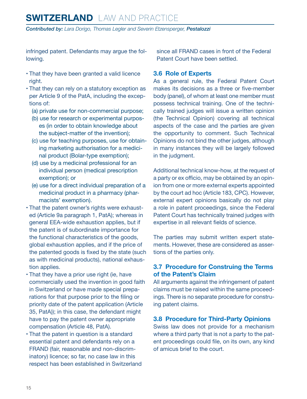<span id="page-14-0"></span>infringed patent. Defendants may argue the following.

- That they have been granted a valid licence right.
- That they can rely on a statutory exception as per Article 9 of the PatA, including the exceptions of:
	- (a) private use for non-commercial purpose;
	- (b) use for research or experimental purposes (in order to obtain knowledge about the subject-matter of the invention);
	- (c) use for teaching purposes, use for obtaining marketing authorisation for a medicinal product (Bolar-type exemption);
	- (d) use by a medicinal professional for an individual person (medical prescription exemption); or
	- (e) use for a direct individual preparation of a medicinal product in a pharmacy (pharmacists' exemption).
- That the patent owner's rights were exhausted (Article 9a paragraph 1, PatA); whereas in general EEA-wide exhaustion applies, but if the patent is of subordinate importance for the functional characteristics of the goods, global exhaustion applies, and if the price of the patented goods is fixed by the state (such as with medicinal products), national exhaustion applies.
- That they have a prior use right (ie, have commercially used the invention in good faith in Switzerland or have made special preparations for that purpose prior to the filing or priority date of the patent application (Article 35, PatA)); in this case, the defendant might have to pay the patent owner appropriate compensation (Article 48, PatA).
- That the patent in question is a standard essential patent and defendants rely on a FRAND (fair, reasonable and non-discriminatory) licence; so far, no case law in this respect has been established in Switzerland

since all FRAND cases in front of the Federal Patent Court have been settled.

#### **3.6 Role of Experts**

As a general rule, the Federal Patent Court makes its decisions as a three or five-member body (panel), of whom at least one member must possess technical training. One of the technically trained judges will issue a written opinion (the Technical Opinion) covering all technical aspects of the case and the parties are given the opportunity to comment. Such Technical Opinions do not bind the other judges, although in many instances they will be largely followed in the judgment.

Additional technical know-how, at the request of a party or ex officio, may be obtained by an opinion from one or more external experts appointed by the court ad hoc (Article 183, CPC). However, external expert opinions basically do not play a role in patent proceedings, since the Federal Patent Court has technically trained judges with expertise in all relevant fields of science.

The parties may submit written expert statements. However, these are considered as assertions of the parties only.

#### **3.7 Procedure for Construing the Terms of the Patent's Claim**

All arguments against the infringement of patent claims must be raised within the same proceedings. There is no separate procedure for construing patent claims.

#### **3.8 Procedure for Third-Party Opinions**

Swiss law does not provide for a mechanism where a third party that is not a party to the patent proceedings could file, on its own, any kind of amicus brief to the court.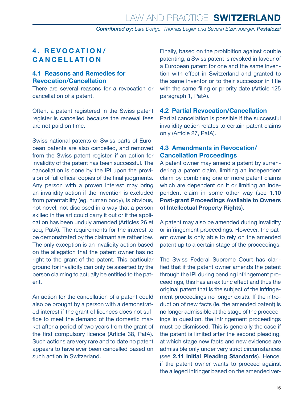#### <span id="page-15-0"></span>**4. REVOCATION/ CANCELLATION**

#### **4.1 Reasons and Remedies for Revocation/Cancellation**

There are several reasons for a revocation or cancellation of a patent.

Often, a patent registered in the Swiss patent register is cancelled because the renewal fees are not paid on time.

Swiss national patents or Swiss parts of European patents are also cancelled, and removed from the Swiss patent register, if an action for invalidity of the patent has been successful. The cancellation is done by the IPI upon the provision of full official copies of the final judgments. Any person with a proven interest may bring an invalidity action if the invention is excluded from patentability (eg, human body), is obvious, not novel, not disclosed in a way that a person skilled in the art could carry it out or if the application has been unduly amended (Articles 26 et seq, PatA). The requirements for the interest to be demonstrated by the claimant are rather low. The only exception is an invalidity action based on the allegation that the patent owner has no right to the grant of the patent. This particular ground for invalidity can only be asserted by the person claiming to actually be entitled to the patent.

An action for the cancellation of a patent could also be brought by a person with a demonstrated interest if the grant of licences does not suffice to meet the demand of the domestic market after a period of two years from the grant of the first compulsory licence (Article 38, PatA). Such actions are very rare and to date no patent appears to have ever been cancelled based on such action in Switzerland.

Finally, based on the prohibition against double patenting, a Swiss patent is revoked in favour of a European patent for one and the same invention with effect in Switzerland and granted to the same inventor or to their successor in title with the same filing or priority date (Article 125) paragraph 1, PatA).

#### **4.2 Partial Revocation/Cancellation**

Partial cancellation is possible if the successful invalidity action relates to certain patent claims only (Article 27, PatA).

#### **4.3 Amendments in Revocation/ Cancellation Proceedings**

A patent owner may amend a patent by surrendering a patent claim, limiting an independent claim by combining one or more patent claims which are dependent on it or limiting an independent claim in some other way (see **1.10 Post-grant Proceedings Available to Owners of Intellectual Property Rights**).

A patent may also be amended during invalidity or infringement proceedings. However, the patent owner is only able to rely on the amended patent up to a certain stage of the proceedings.

The Swiss Federal Supreme Court has clarified that if the patent owner amends the patent through the IPI during pending infringement proceedings, this has an ex tunc effect and thus the original patent that is the subject of the infringement proceedings no longer exists. If the introduction of new facts (ie, the amended patent) is no longer admissible at the stage of the proceedings in question, the infringement proceedings must be dismissed. This is generally the case if the patent is limited after the second pleading, at which stage new facts and new evidence are admissible only under very strict circumstances (see **2.11 Initial Pleading Standards**). Hence, if the patent owner wants to proceed against the alleged infringer based on the amended ver-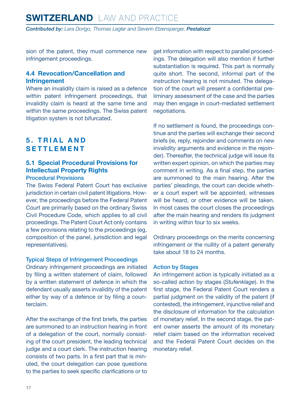# <span id="page-16-0"></span>**SWITZERLAND** LAW AND PRACTICE

*Contributed by: Lara Dorigo, Thomas Legler and Severin Etzensperger, Pestalozzi*

sion of the patent, they must commence new infringement proceedings.

#### **4.4 Revocation/Cancellation and Infringement**

Where an invalidity claim is raised as a defence within patent infringement proceedings, that invalidity claim is heard at the same time and within the same proceedings. The Swiss patent litigation system is not bifurcated.

#### **5. TRIAL AND SETTLEMENT**

#### **5.1 Special Procedural Provisions for Intellectual Property Rights**

#### Procedural Provisions

The Swiss Federal Patent Court has exclusive jurisdiction in certain civil patent litigations. However, the proceedings before the Federal Patent Court are primarily based on the ordinary Swiss Civil Procedure Code, which applies to all civil proceedings. The Patent Court Act only contains a few provisions relating to the proceedings (eg, composition of the panel, jurisdiction and legal representatives).

#### Typical Steps of Infringement Proceedings

Ordinary infringement proceedings are initiated by filing a written statement of claim, followed by a written statement of defence in which the defendant usually asserts invalidity of the patent either by way of a defence or by filing a counterclaim.

After the exchange of the first briefs, the parties are summoned to an instruction hearing in front of a delegation of the court, normally consisting of the court president, the leading technical judge and a court clerk. The instruction hearing consists of two parts. In a first part that is minuted, the court delegation can pose questions to the parties to seek specific clarifications or to get information with respect to parallel proceedings. The delegation will also mention if further substantiation is required. This part is normally quite short. The second, informal part of the instruction hearing is not minuted. The delegation of the court will present a confidential preliminary assessment of the case and the parties may then engage in court-mediated settlement negotiations.

If no settlement is found, the proceedings continue and the parties will exchange their second briefs (ie, reply, rejoinder and comments on new invalidity arguments and evidence in the rejoinder). Thereafter, the technical judge will issue its written expert opinion, on which the parties may comment in writing. As a final step, the parties are summoned to the main hearing. After the parties' pleadings, the court can decide whether a court expert will be appointed, witnesses will be heard, or other evidence will be taken. In most cases the court closes the proceedings after the main hearing and renders its judgment in writing within four to six weeks.

Ordinary proceedings on the merits concerning infringement or the nullity of a patent generally take about 18 to 24 months.

#### Action by Stages

An infringement action is typically initiated as a so-called action by stages (*Stufenklage*). In the first stage, the Federal Patent Court renders a partial judgment on the validity of the patent (if contested), the infringement, injunctive relief and the disclosure of information for the calculation of monetary relief. In the second stage, the patent owner asserts the amount of its monetary relief claim based on the information received and the Federal Patent Court decides on the monetary relief.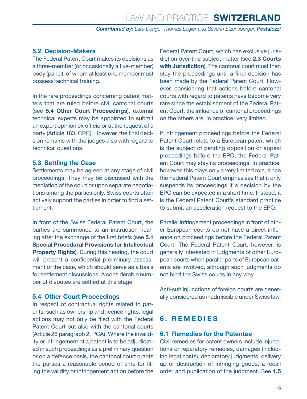#### <span id="page-17-0"></span>**5.2 Decision-Makers**

The Federal Patent Court makes its decisions as a three-member (or occasionally a five-member) body (panel), of whom at least one member must possess technical training.

In the rare proceedings concerning patent matters that are ruled before civil cantonal courts (see **5.4 Other Court Proceedings**), external technical experts may be appointed to submit an expert opinion ex officio or at the request of a party (Article 183, CPC). However, the final decision remains with the judges also with regard to technical questions.

#### **5.3 Settling the Case**

Settlements may be agreed at any stage of civil proceedings. They may be discussed with the mediation of the court or upon separate negotiations among the parties only. Swiss courts often actively support the parties in order to find a settlement.

In front of the Swiss Federal Patent Court, the parties are summoned to an instruction hearing after the exchange of the first briefs (see **5.1 Special Procedural Provisions for Intellectual Property Rights**). During this hearing, the court will present a confidential preliminary assessment of the case, which should serve as a basis for settlement discussions. A considerable number of disputes are settled at this stage.

#### **5.4 Other Court Proceedings**

In respect of contractual rights related to patents, such as ownership and licence rights, legal actions may not only be filed with the Federal Patent Court but also with the cantonal courts (Article 26 paragraph 2, PCA). Where the invalidity or infringement of a patent is to be adjudicated in such proceedings as a preliminary question or on a defence basis, the cantonal court grants the parties a reasonable period of time for filing the validity or infringement action before the

Federal Patent Court, which has exclusive jurisdiction over this subject matter (see **2.3 Courts with Jurisdiction**). The cantonal court must then stay the proceedings until a final decision has been made by the Federal Patent Court. However, considering that actions before cantonal courts with regard to patents have become very rare since the establishment of the Federal Patent Court, the influence of cantonal proceedings on the others are, in practice, very limited.

If infringement proceedings before the Federal Patent Court relate to a European patent which is the subject of pending opposition or appeal proceedings before the EPO, the Federal Patent Court may stay its proceedings. In practice, however, this plays only a very limited role, since the Federal Patent Court emphasises that it only suspends its proceedings if a decision by the EPO can be expected in a short time. Instead, it is the Federal Patent Court's standard practice to submit an acceleration request to the EPO.

Parallel infringement proceedings in front of other European courts do not have a direct influence on proceedings before the Federal Patent Court. The Federal Patent Court, however, is generally interested in judgments of other European courts when parallel parts of European patents are involved, although such judgments do not bind the Swiss courts in any way.

Anti-suit injunctions of foreign courts are generally considered as inadmissible under Swiss law.

## **6. REMEDIES**

#### **6.1 Remedies for the Patentee**

Civil remedies for patent owners include injunctions or reparatory remedies, damages (including legal costs), declaratory judgments, delivery up or destruction of infringing goods, a recall order and publication of the judgment. See **1.5**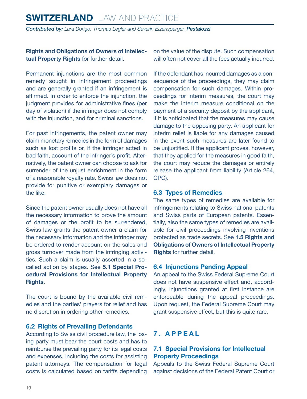#### <span id="page-18-0"></span>**Rights and Obligations of Owners of Intellectual Property Rights** for further detail.

Permanent injunctions are the most common remedy sought in infringement proceedings and are generally granted if an infringement is affirmed. In order to enforce the injunction, the judgment provides for administrative fines (per day of violation) if the infringer does not comply with the injunction, and for criminal sanctions.

For past infringements, the patent owner may claim monetary remedies in the form of damages such as lost profits or, if the infringer acted in bad faith, account of the infringer's profit. Alternatively, the patent owner can choose to ask for surrender of the unjust enrichment in the form of a reasonable royalty rate. Swiss law does not provide for punitive or exemplary damages or the like.

Since the patent owner usually does not have all the necessary information to prove the amount of damages or the profit to be surrendered, Swiss law grants the patent owner a claim for the necessary information and the infringer may be ordered to render account on the sales and gross turnover made from the infringing activities. Such a claim is usually asserted in a socalled action by stages. See **5.1 Special Procedural Provisions for Intellectual Property Rights**.

The court is bound by the available civil remedies and the parties' prayers for relief and has no discretion in ordering other remedies.

#### **6.2 Rights of Prevailing Defendants**

According to Swiss civil procedure law, the losing party must bear the court costs and has to reimburse the prevailing party for its legal costs and expenses, including the costs for assisting patent attorneys. The compensation for legal costs is calculated based on tariffs depending on the value of the dispute. Such compensation will often not cover all the fees actually incurred.

If the defendant has incurred damages as a consequence of the proceedings, they may claim compensation for such damages. Within proceedings for interim measures, the court may make the interim measure conditional on the payment of a security deposit by the applicant, if it is anticipated that the measures may cause damage to the opposing party. An applicant for interim relief is liable for any damages caused in the event such measures are later found to be unjustified. If the applicant proves, however, that they applied for the measures in good faith, the court may reduce the damages or entirely release the applicant from liability (Article 264, CPC).

#### **6.3 Types of Remedies**

The same types of remedies are available for infringements relating to Swiss national patents and Swiss parts of European patents. Essentially, also the same types of remedies are available for civil proceedings involving inventions protected as trade secrets. See **1.5 Rights and Obligations of Owners of Intellectual Property Rights** for further detail.

#### **6.4 Injunctions Pending Appeal**

An appeal to the Swiss Federal Supreme Court does not have suspensive effect and, accordingly, injunctions granted at first instance are enforceable during the appeal proceedings. Upon request, the Federal Supreme Court may grant suspensive effect, but this is quite rare.

#### **7. APPEAL**

#### **7.1 Special Provisions for Intellectual Property Proceedings**

Appeals to the Swiss Federal Supreme Court against decisions of the Federal Patent Court or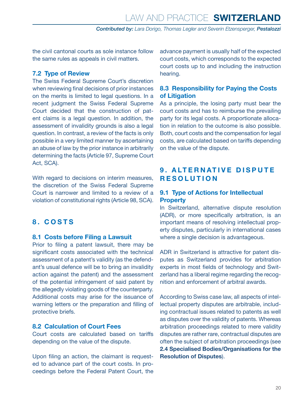<span id="page-19-0"></span>the civil cantonal courts as sole instance follow the same rules as appeals in civil matters.

#### **7.2 Type of Review**

The Swiss Federal Supreme Court's discretion when reviewing final decisions of prior instances on the merits is limited to legal questions. In a recent judgment the Swiss Federal Supreme Court decided that the construction of patent claims is a legal question. In addition, the assessment of invalidity grounds is also a legal question. In contrast, a review of the facts is only possible in a very limited manner by ascertaining an abuse of law by the prior instance in arbitrarily determining the facts (Article 97, Supreme Court Act, SCA).

With regard to decisions on interim measures, the discretion of the Swiss Federal Supreme Court is narrower and limited to a review of a violation of constitutional rights (Article 98, SCA).

#### **8. COSTS**

#### **8.1 Costs before Filing a Lawsuit**

Prior to filing a patent lawsuit, there may be significant costs associated with the technical assessment of a patent's validity (as the defendant's usual defence will be to bring an invalidity action against the patent) and the assessment of the potential infringement of said patent by the allegedly violating goods of the counterparty. Additional costs may arise for the issuance of warning letters or the preparation and filling of protective briefs.

#### **8.2 Calculation of Court Fees**

Court costs are calculated based on tariffs depending on the value of the dispute.

Upon filing an action, the claimant is requested to advance part of the court costs. In proceedings before the Federal Patent Court, the advance payment is usually half of the expected court costs, which corresponds to the expected court costs up to and including the instruction hearing.

#### **8.3 Responsibility for Paying the Costs of Litigation**

As a principle, the losing party must bear the court costs and has to reimburse the prevailing party for its legal costs. A proportionate allocation in relation to the outcome is also possible. Both, court costs and the compensation for legal costs, are calculated based on tariffs depending on the value of the dispute.

#### **9 . A LT E R N AT I V E D I S P U T E RESOLUTION**

#### **9.1 Type of Actions for Intellectual Property**

In Switzerland, alternative dispute resolution (ADR), or more specifically arbitration, is an important means of resolving intellectual property disputes, particularly in international cases where a single decision is advantageous.

ADR in Switzerland is attractive for patent disputes as Switzerland provides for arbitration experts in most fields of technology and Switzerland has a liberal regime regarding the recognition and enforcement of arbitral awards.

According to Swiss case law, all aspects of intellectual property disputes are arbitrable, including contractual issues related to patents as well as disputes over the validity of patents. Whereas arbitration proceedings related to mere validity disputes are rather rare, contractual disputes are often the subject of arbitration proceedings (see **2.4 Specialised Bodies/Organisations for the Resolution of Disputes**).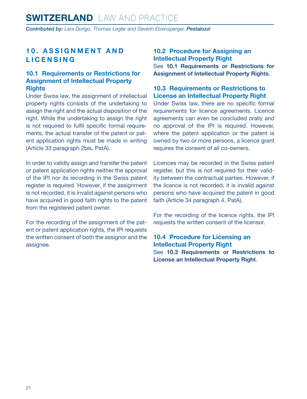#### <span id="page-20-0"></span>**10. ASSIGNMENT AND LICENSING**

#### **10.1 Requirements or Restrictions for Assignment of Intellectual Property Rights**

Under Swiss law, the assignment of intellectual property rights consists of the undertaking to assign the right and the actual disposition of the right. While the undertaking to assign the right is not required to fulfil specific formal requirements, the actual transfer of the patent or patent application rights must be made in writing (Article 33 paragraph 2bis, PatA).

In order to validly assign and transfer the patent or patent application rights neither the approval of the IPI nor its recording in the Swiss patent register is required. However, if the assignment is not recorded, it is invalid against persons who have acquired in good faith rights to the patent from the registered patent owner.

For the recording of the assignment of the patent or patent application rights, the IPI requests the written consent of both the assignor and the assignee.

#### **10.2 Procedure for Assigning an Intellectual Property Right** See **10.1 Requirements or Restrictions for Assignment of Intellectual Property Rights**.

#### **10.3 Requirements or Restrictions to License an Intellectual Property Right**

Under Swiss law, there are no specific formal requirements for licence agreements. Licence agreements can even be concluded orally and no approval of the IPI is required. However, where the patent application or the patent is owned by two or more persons, a licence grant requires the consent of all co-owners.

Licences may be recorded in the Swiss patent register, but this is not required for their validity between the contractual parties. However, if the licence is not recorded, it is invalid against persons who have acquired the patent in good faith (Article 34 paragraph 4, PatA).

For the recording of the licence rights, the IPI requests the written consent of the licensor.

**10.4 Procedure for Licensing an Intellectual Property Right** See **10.3 Requirements or Restrictions to License an Intellectual Property Right**.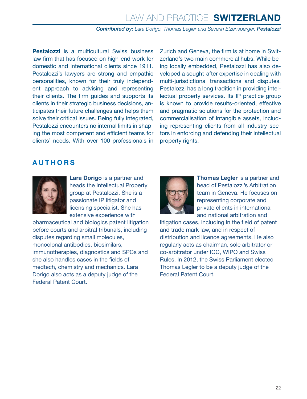**Pestalozzi** is a multicultural Swiss business law firm that has focused on high-end work for domestic and international clients since 1911. Pestalozzi's lawyers are strong and empathic personalities, known for their truly independent approach to advising and representing their clients. The firm guides and supports its clients in their strategic business decisions, anticipates their future challenges and helps them solve their critical issues. Being fully integrated, Pestalozzi encounters no internal limits in shaping the most competent and efficient teams for clients' needs. With over 100 professionals in Zurich and Geneva, the firm is at home in Switzerland's two main commercial hubs. While being locally embedded, Pestalozzi has also developed a sought-after expertise in dealing with multi-jurisdictional transactions and disputes. Pestalozzi has a long tradition in providing intellectual property services. Its IP practice group is known to provide results-oriented, effective and pragmatic solutions for the protection and commercialisation of intangible assets, including representing clients from all industry sectors in enforcing and defending their intellectual property rights.

#### <span id="page-21-0"></span>**AUTHORS**



**Lara Dorigo** is a partner and heads the Intellectual Property group at Pestalozzi. She is a passionate IP litigator and licensing specialist. She has extensive experience with

pharmaceutical and biologics patent litigation before courts and arbitral tribunals, including disputes regarding small molecules, monoclonal antibodies, biosimilars, immunotherapies, diagnostics and SPCs and she also handles cases in the fields of medtech, chemistry and mechanics. Lara Dorigo also acts as a deputy judge of the Federal Patent Court.



**Thomas Legler** is a partner and head of Pestalozzi's Arbitration team in Geneva. He focuses on representing corporate and private clients in international and national arbitration and

litigation cases, including in the field of patent and trade mark law, and in respect of distribution and licence agreements. He also regularly acts as chairman, sole arbitrator or co-arbitrator under ICC, WIPO and Swiss Rules. In 2012, the Swiss Parliament elected Thomas Legler to be a deputy judge of the Federal Patent Court.